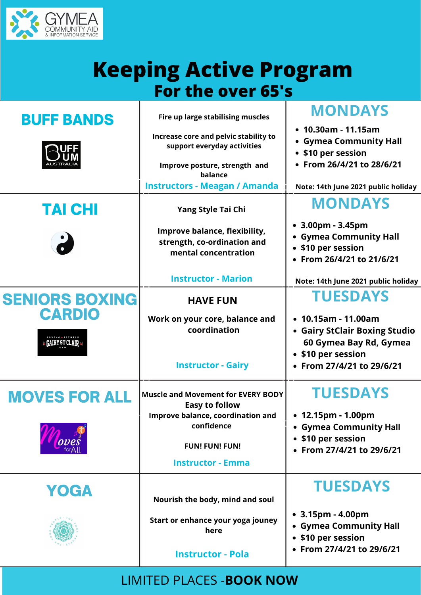

## **Keeping Active Program For the over 65's**

| CARDIO<br>$\epsilon$ gairy st clair $\epsilon$ | Work on your core, balance and<br>coordination<br><b>Instructor - Gairy</b> | $\bullet$ 10.15am - 11.00am<br>• Gairy StClair Boxing Studio<br>60 Gymea Bay Rd, Gymea<br>• \$10 per session<br>• From 27/4/21 to 29/6/21 |
|------------------------------------------------|-----------------------------------------------------------------------------|-------------------------------------------------------------------------------------------------------------------------------------------|
| <b>MOVES FOR ALL</b>                           | <b>Muscle and Movement for EVERY BODY</b><br><b>Easy to follow</b>          | <b>TUESDAYS</b>                                                                                                                           |
| oves                                           | <b>Improve balance, coordination and</b><br>confidence                      | $\bullet$ 12.15pm - 1.00pm<br>• Gymea Community Hall                                                                                      |
|                                                | <b>FUN! FUN! FUN!</b><br><b>Instructor - Emma</b>                           | • \$10 per session<br>• From 27/4/21 to 29/6/21                                                                                           |
| YOGA                                           | Nourish the body, mind and soul                                             | <b>TUESDAYS</b>                                                                                                                           |
|                                                | Start or enhance your yoga jouney<br>here<br><b>Instructor - Pola</b>       | • $3.15 \text{pm}$ - $4.00 \text{pm}$<br>• Gymea Community Hall<br>• \$10 per session<br>• From 27/4/21 to 29/6/21                        |
|                                                |                                                                             |                                                                                                                                           |

| <b>BUFF BANDS</b><br><b>AUSTRALIA</b> | Fire up large stabilising muscles<br>Increase core and pelvic stability to<br>support everyday activities<br>Improve posture, strength and<br>balance | <b>MONDAYS</b><br>$\cdot$ 10.30am - 11.15am<br>• Gymea Community Hall<br>• \$10 per session<br>• From 26/4/21 to 28/6/21 |
|---------------------------------------|-------------------------------------------------------------------------------------------------------------------------------------------------------|--------------------------------------------------------------------------------------------------------------------------|
|                                       | <b>Instructors - Meagan / Amanda</b>                                                                                                                  | Note: 14th June 2021 public holiday                                                                                      |
| <b>TAI CHI</b>                        | <b>Yang Style Tai Chi</b>                                                                                                                             | <b>MONDAYS</b>                                                                                                           |
| $\bullet$                             | <b>Improve balance, flexibility,</b><br>strength, co-ordination and<br>mental concentration                                                           | • $3.00 \text{pm}$ - $3.45 \text{pm}$<br>• Gymea Community Hall<br>• \$10 per session<br>• From 26/4/21 to 21/6/21       |
|                                       | <b>Instructor - Marion</b>                                                                                                                            | Note: 14th June 2021 public holiday                                                                                      |
| <b>SENIORS BOXING</b>                 | <b>HAVE FUN</b>                                                                                                                                       | <b>TUESDAYS</b>                                                                                                          |
| <b>CARDIO</b>                         | Mork on your care halance and                                                                                                                         | $.1015$ $mm.1100$                                                                                                        |

## LIMITED PLACES -**BOOK NOW**